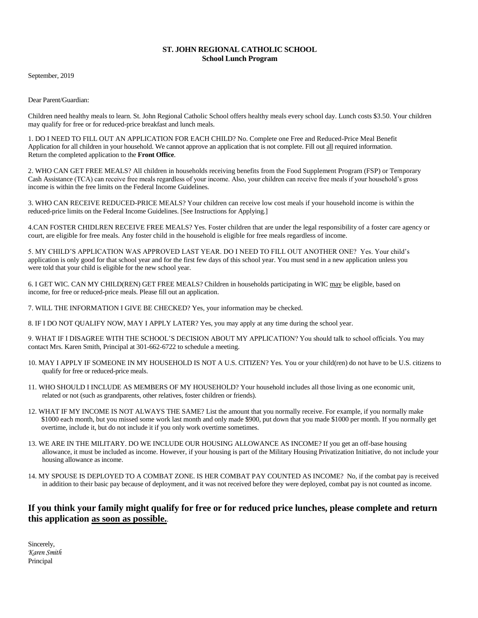## **ST. JOHN REGIONAL CATHOLIC SCHOOL School Lunch Program**

September, 2019

Dear Parent/Guardian:

Children need healthy meals to learn. St. John Regional Catholic School offers healthy meals every school day. Lunch costs \$3.50. Your children may qualify for free or for reduced-price breakfast and lunch meals.

1. DO I NEED TO FILL OUT AN APPLICATION FOR EACH CHILD? No. Complete one Free and Reduced-Price Meal Benefit Application for all children in your household. We cannot approve an application that is not complete. Fill out all required information. Return the completed application to the **Front Office**.

2. WHO CAN GET FREE MEALS? All children in households receiving benefits from the Food Supplement Program (FSP) or Temporary Cash Assistance (TCA) can receive free meals regardless of your income. Also, your children can receive free meals if your household's gross income is within the free limits on the Federal Income Guidelines.

3. WHO CAN RECEIVE REDUCED-PRICE MEALS? Your children can receive low cost meals if your household income is within the reduced-price limits on the Federal Income Guidelines. [See Instructions for Applying.]

4.CAN FOSTER CHIDLREN RECEIVE FREE MEALS? Yes. Foster children that are under the legal responsibility of a foster care agency or court, are eligible for free meals. Any foster child in the household is eligible for free meals regardless of income.

5. MY CHILD'S APPLICATION WAS APPROVED LAST YEAR. DO I NEED TO FILL OUT ANOTHER ONE? Yes. Your child's application is only good for that school year and for the first few days of this school year. You must send in a new application unless you were told that your child is eligible for the new school year.

6. I GET WIC. CAN MY CHILD(REN) GET FREE MEALS? Children in households participating in WIC may be eligible, based on income, for free or reduced-price meals. Please fill out an application.

7. WILL THE INFORMATION I GIVE BE CHECKED? Yes, your information may be checked.

8. IF I DO NOT QUALIFY NOW, MAY I APPLY LATER? Yes, you may apply at any time during the school year.

9. WHAT IF I DISAGREE WITH THE SCHOOL'S DECISION ABOUT MY APPLICATION? You should talk to school officials. You may contact Mrs. Karen Smith, Principal at 301-662-6722 to schedule a meeting.

- 10. MAY I APPLY IF SOMEONE IN MY HOUSEHOLD IS NOT A U.S. CITIZEN? Yes. You or your child(ren) do not have to be U.S. citizens to qualify for free or reduced-price meals.
- 11. WHO SHOULD I INCLUDE AS MEMBERS OF MY HOUSEHOLD? Your household includes all those living as one economic unit, related or not (such as grandparents, other relatives, foster children or friends).
- 12. WHAT IF MY INCOME IS NOT ALWAYS THE SAME? List the amount that you normally receive. For example, if you normally make \$1000 each month, but you missed some work last month and only made \$900, put down that you made \$1000 per month. If you normally get overtime, include it, but do not include it if you only work overtime sometimes.
- 13. WE ARE IN THE MILITARY. DO WE INCLUDE OUR HOUSING ALLOWANCE AS INCOME? If you get an off-base housing allowance, it must be included as income. However, if your housing is part of the Military Housing Privatization Initiative, do not include your housing allowance as income.
- 14. MY SPOUSE IS DEPLOYED TO A COMBAT ZONE. IS HER COMBAT PAY COUNTED AS INCOME? No, if the combat pay is received in addition to their basic pay because of deployment, and it was not received before they were deployed, combat pay is not counted as income.

# **If you think your family might qualify for free or for reduced price lunches, please complete and return this application as soon as possible.**.

Sincerely, *Karen Smith*  Principal